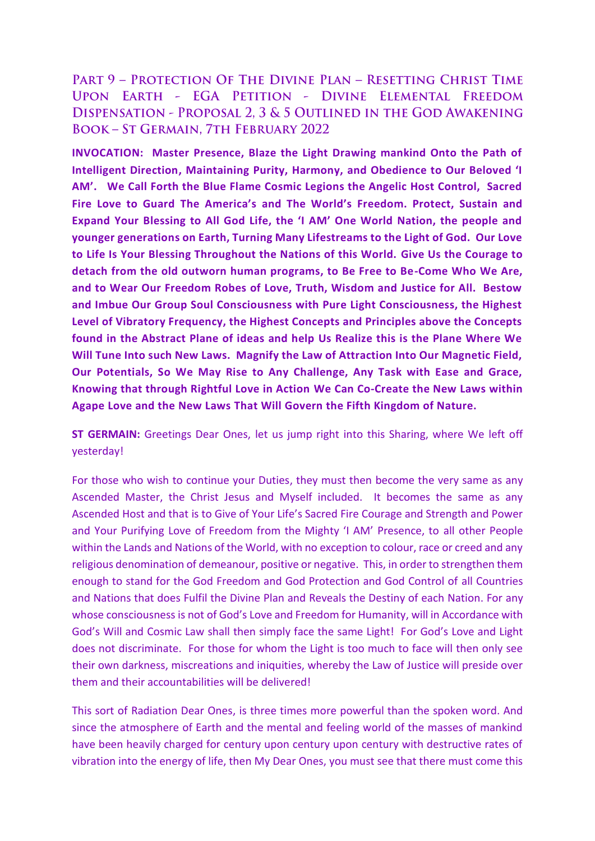PART 9 - PROTECTION OF THE DIVINE PLAN - RESETTING CHRIST TIME UPON EARTH - EGA PETITION - DIVINE ELEMENTAL FREEDOM DISPENSATION - PROPOSAL 2, 3 & 5 OUTLINED IN THE GOD AWAKENING **BOOK - ST GERMAIN, 7TH FEBRUARY 2022** 

**INVOCATION: Master Presence, Blaze the Light Drawing mankind Onto the Path of Intelligent Direction, Maintaining Purity, Harmony, and Obedience to Our Beloved 'I AM'. We Call Forth the Blue Flame Cosmic Legions the Angelic Host Control, Sacred Fire Love to Guard The America's and The World's Freedom. Protect, Sustain and Expand Your Blessing to All God Life, the 'I AM' One World Nation, the people and younger generations on Earth, Turning Many Lifestreams to the Light of God. Our Love to Life Is Your Blessing Throughout the Nations of this World. Give Us the Courage to detach from the old outworn human programs, to Be Free to Be-Come Who We Are, and to Wear Our Freedom Robes of Love, Truth, Wisdom and Justice for All. Bestow and Imbue Our Group Soul Consciousness with Pure Light Consciousness, the Highest Level of Vibratory Frequency, the Highest Concepts and Principles above the Concepts found in the Abstract Plane of ideas and help Us Realize this is the Plane Where We Will Tune Into such New Laws. Magnify the Law of Attraction Into Our Magnetic Field, Our Potentials, So We May Rise to Any Challenge, Any Task with Ease and Grace, Knowing that through Rightful Love in Action We Can Co-Create the New Laws within Agape Love and the New Laws That Will Govern the Fifth Kingdom of Nature.**

**ST GERMAIN:** Greetings Dear Ones, let us jump right into this Sharing, where We left off yesterday!

For those who wish to continue your Duties, they must then become the very same as any Ascended Master, the Christ Jesus and Myself included. It becomes the same as any Ascended Host and that is to Give of Your Life's Sacred Fire Courage and Strength and Power and Your Purifying Love of Freedom from the Mighty 'I AM' Presence, to all other People within the Lands and Nations of the World, with no exception to colour, race or creed and any religious denomination of demeanour, positive or negative. This, in order to strengthen them enough to stand for the God Freedom and God Protection and God Control of all Countries and Nations that does Fulfil the Divine Plan and Reveals the Destiny of each Nation. For any whose consciousness is not of God's Love and Freedom for Humanity, will in Accordance with God's Will and Cosmic Law shall then simply face the same Light! For God's Love and Light does not discriminate. For those for whom the Light is too much to face will then only see their own darkness, miscreations and iniquities, whereby the Law of Justice will preside over them and their accountabilities will be delivered!

This sort of Radiation Dear Ones, is three times more powerful than the spoken word. And since the atmosphere of Earth and the mental and feeling world of the masses of mankind have been heavily charged for century upon century upon century with destructive rates of vibration into the energy of life, then My Dear Ones, you must see that there must come this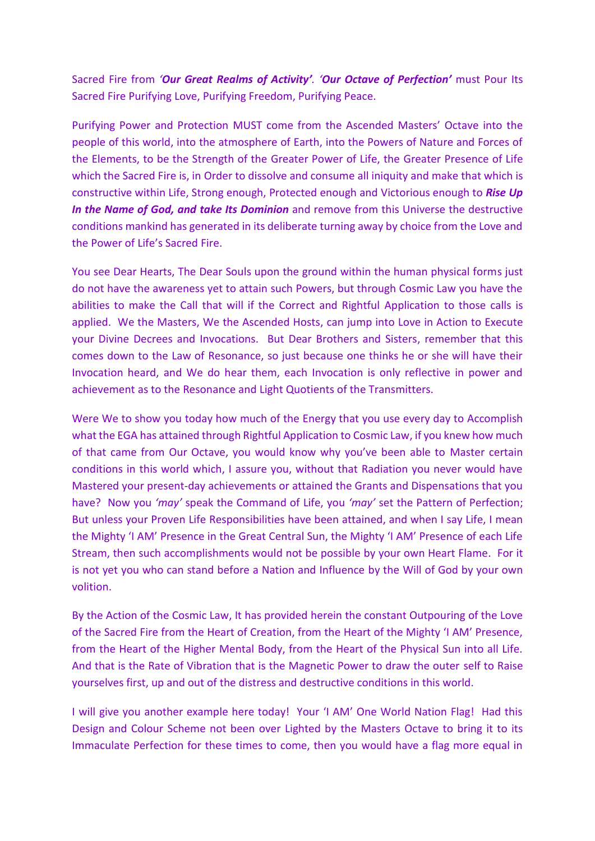Sacred Fire from *'Our Great Realms of Activity'. 'Our Octave of Perfection'* must Pour Its Sacred Fire Purifying Love, Purifying Freedom, Purifying Peace.

Purifying Power and Protection MUST come from the Ascended Masters' Octave into the people of this world, into the atmosphere of Earth, into the Powers of Nature and Forces of the Elements, to be the Strength of the Greater Power of Life, the Greater Presence of Life which the Sacred Fire is, in Order to dissolve and consume all iniquity and make that which is constructive within Life, Strong enough, Protected enough and Victorious enough to *Rise Up In the Name of God, and take Its Dominion* and remove from this Universe the destructive conditions mankind has generated in its deliberate turning away by choice from the Love and the Power of Life's Sacred Fire.

You see Dear Hearts, The Dear Souls upon the ground within the human physical forms just do not have the awareness yet to attain such Powers, but through Cosmic Law you have the abilities to make the Call that will if the Correct and Rightful Application to those calls is applied. We the Masters, We the Ascended Hosts, can jump into Love in Action to Execute your Divine Decrees and Invocations. But Dear Brothers and Sisters, remember that this comes down to the Law of Resonance, so just because one thinks he or she will have their Invocation heard, and We do hear them, each Invocation is only reflective in power and achievement as to the Resonance and Light Quotients of the Transmitters.

Were We to show you today how much of the Energy that you use every day to Accomplish what the EGA has attained through Rightful Application to Cosmic Law, if you knew how much of that came from Our Octave, you would know why you've been able to Master certain conditions in this world which, I assure you, without that Radiation you never would have Mastered your present-day achievements or attained the Grants and Dispensations that you have? Now you *'may'* speak the Command of Life, you *'may'* set the Pattern of Perfection; But unless your Proven Life Responsibilities have been attained, and when I say Life, I mean the Mighty 'I AM' Presence in the Great Central Sun, the Mighty 'I AM' Presence of each Life Stream, then such accomplishments would not be possible by your own Heart Flame. For it is not yet you who can stand before a Nation and Influence by the Will of God by your own volition.

By the Action of the Cosmic Law, It has provided herein the constant Outpouring of the Love of the Sacred Fire from the Heart of Creation, from the Heart of the Mighty 'I AM' Presence, from the Heart of the Higher Mental Body, from the Heart of the Physical Sun into all Life. And that is the Rate of Vibration that is the Magnetic Power to draw the outer self to Raise yourselves first, up and out of the distress and destructive conditions in this world.

I will give you another example here today! Your 'I AM' One World Nation Flag! Had this Design and Colour Scheme not been over Lighted by the Masters Octave to bring it to its Immaculate Perfection for these times to come, then you would have a flag more equal in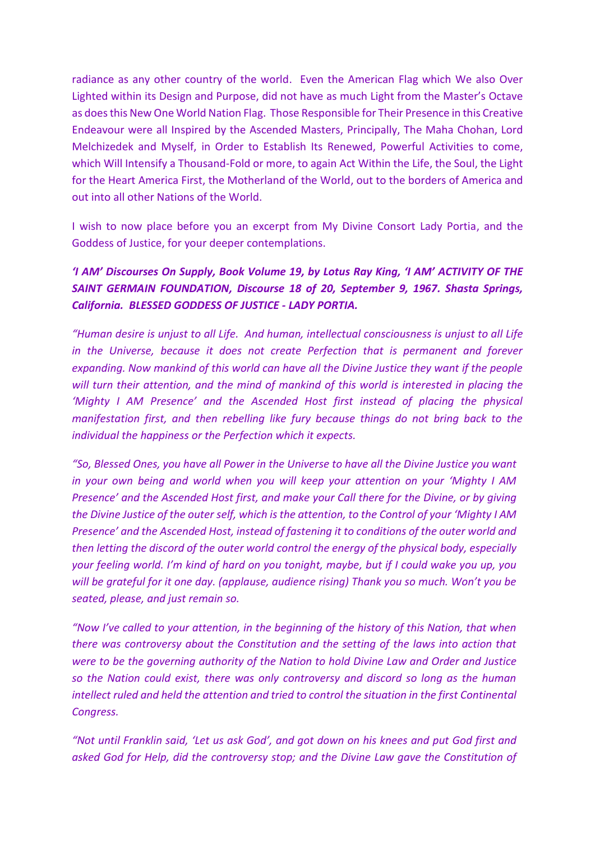radiance as any other country of the world. Even the American Flag which We also Over Lighted within its Design and Purpose, did not have as much Light from the Master's Octave as does this New One World Nation Flag. Those Responsible for Their Presence in this Creative Endeavour were all Inspired by the Ascended Masters, Principally, The Maha Chohan, Lord Melchizedek and Myself, in Order to Establish Its Renewed, Powerful Activities to come, which Will Intensify a Thousand-Fold or more, to again Act Within the Life, the Soul, the Light for the Heart America First, the Motherland of the World, out to the borders of America and out into all other Nations of the World.

I wish to now place before you an excerpt from My Divine Consort Lady Portia, and the Goddess of Justice, for your deeper contemplations.

## *'I AM' Discourses On Supply, Book Volume 19, by Lotus Ray King, 'I AM' ACTIVITY OF THE SAINT GERMAIN FOUNDATION, Discourse 18 of 20, September 9, 1967. Shasta Springs, California. BLESSED GODDESS OF JUSTICE - LADY PORTIA.*

*"Human desire is unjust to all Life. And human, intellectual consciousness is unjust to all Life in the Universe, because it does not create Perfection that is permanent and forever expanding. Now mankind of this world can have all the Divine Justice they want if the people will turn their attention, and the mind of mankind of this world is interested in placing the 'Mighty I AM Presence' and the Ascended Host first instead of placing the physical manifestation first, and then rebelling like fury because things do not bring back to the individual the happiness or the Perfection which it expects.*

*"So, Blessed Ones, you have all Power in the Universe to have all the Divine Justice you want in your own being and world when you will keep your attention on your 'Mighty I AM Presence' and the Ascended Host first, and make your Call there for the Divine, or by giving the Divine Justice of the outer self, which is the attention, to the Control of your 'Mighty I AM Presence' and the Ascended Host, instead of fastening it to conditions of the outer world and then letting the discord of the outer world control the energy of the physical body, especially your feeling world. I'm kind of hard on you tonight, maybe, but if I could wake you up, you will be grateful for it one day. (applause, audience rising) Thank you so much. Won't you be seated, please, and just remain so.* 

*"Now I've called to your attention, in the beginning of the history of this Nation, that when there was controversy about the Constitution and the setting of the laws into action that were to be the governing authority of the Nation to hold Divine Law and Order and Justice so the Nation could exist, there was only controversy and discord so long as the human intellect ruled and held the attention and tried to control the situation in the first Continental Congress.* 

*"Not until Franklin said, 'Let us ask God', and got down on his knees and put God first and asked God for Help, did the controversy stop; and the Divine Law gave the Constitution of*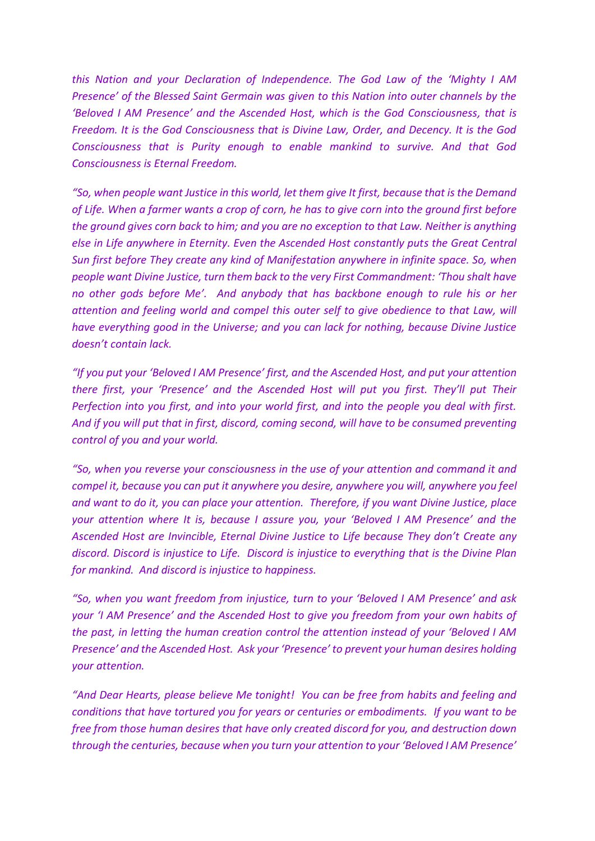*this Nation and your Declaration of Independence. The God Law of the 'Mighty I AM Presence' of the Blessed Saint Germain was given to this Nation into outer channels by the 'Beloved I AM Presence' and the Ascended Host, which is the God Consciousness, that is Freedom. It is the God Consciousness that is Divine Law, Order, and Decency. It is the God Consciousness that is Purity enough to enable mankind to survive. And that God Consciousness is Eternal Freedom.*

*"So, when people want Justice in this world, let them give It first, because that is the Demand of Life. When a farmer wants a crop of corn, he has to give corn into the ground first before the ground gives corn back to him; and you are no exception to that Law. Neither is anything else in Life anywhere in Eternity. Even the Ascended Host constantly puts the Great Central Sun first before They create any kind of Manifestation anywhere in infinite space. So, when people want Divine Justice, turn them back to the very First Commandment: 'Thou shalt have no other gods before Me'. And anybody that has backbone enough to rule his or her attention and feeling world and compel this outer self to give obedience to that Law, will have everything good in the Universe; and you can lack for nothing, because Divine Justice doesn't contain lack.* 

*"If you put your 'Beloved I AM Presence' first, and the Ascended Host, and put your attention there first, your 'Presence' and the Ascended Host will put you first. They'll put Their Perfection into you first, and into your world first, and into the people you deal with first. And if you will put that in first, discord, coming second, will have to be consumed preventing control of you and your world.* 

*"So, when you reverse your consciousness in the use of your attention and command it and compel it, because you can put it anywhere you desire, anywhere you will, anywhere you feel and want to do it, you can place your attention. Therefore, if you want Divine Justice, place your attention where It is, because I assure you, your 'Beloved I AM Presence' and the Ascended Host are Invincible, Eternal Divine Justice to Life because They don't Create any discord. Discord is injustice to Life. Discord is injustice to everything that is the Divine Plan for mankind. And discord is injustice to happiness.* 

*"So, when you want freedom from injustice, turn to your 'Beloved I AM Presence' and ask your 'I AM Presence' and the Ascended Host to give you freedom from your own habits of the past, in letting the human creation control the attention instead of your 'Beloved I AM Presence' and the Ascended Host. Ask your 'Presence' to prevent your human desires holding your attention.*

*"And Dear Hearts, please believe Me tonight! You can be free from habits and feeling and conditions that have tortured you for years or centuries or embodiments. If you want to be free from those human desires that have only created discord for you, and destruction down through the centuries, because when you turn your attention to your 'Beloved I AM Presence'*